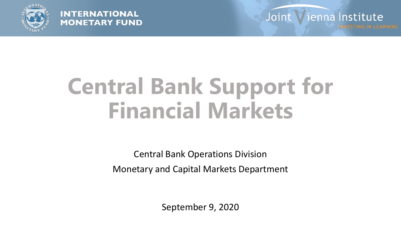

#### **INTERNATIONAL MONETARY FUND**

Joint Vienna Institute

# **Central Bank Support for Financial Markets**

Central Bank Operations Division Monetary and Capital Markets Department

September 9, 2020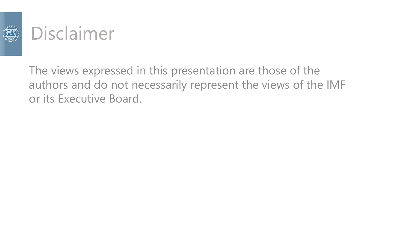

#### Disclaimer

The views expressed in this presentation are those of the authors and do not necessarily represent the views of the IMF or its Executive Board.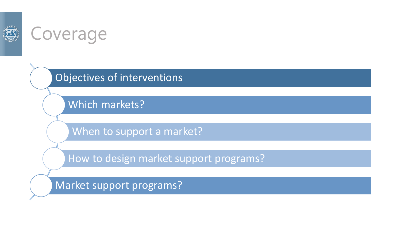

#### Coverage

Objectives of interventions

Which markets?

When to support a market?

How to design market support programs?

Market support programs?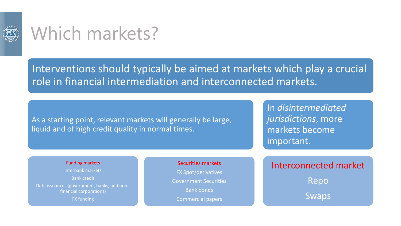

### Which markets?

#### Interventions should typically be aimed at markets which play a crucial role in financial intermediation and interconnected markets.

As a starting point, relevant markets will generally be large, liquid and of high credit quality in normal times.

In *disintermediated jurisdictions*, more markets become important.

#### Funding markets

Interbank markets Bank credit Debt issuances (government, banks, and non financial corporations) FX funding

Securities markets FX Spot/derivatives Government Securities Bank bonds Commercial papers

Interconnected market Repo Swaps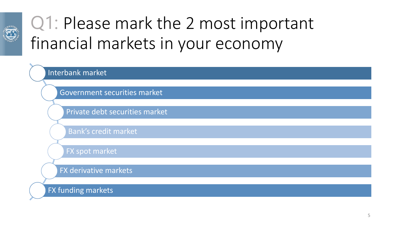

## Q1: Please mark the 2 most important financial markets in your economy

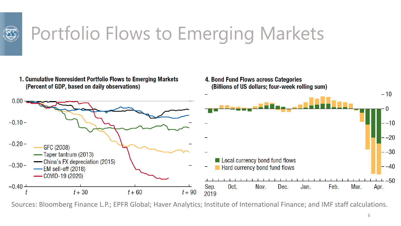

# Portfolio Flows to Emerging Markets

1. Cumulative Nonresident Portfolio Flows to Emerging Markets (Percent of GDP, based on daily observations)

4. Bond Fund Flows across Categories (Billions of US dollars; four-week rolling sum)



Sources: Bloomberg Finance L.P.; EPFR Global; Haver Analytics; Institute of International Finance; and IMF staff calculations.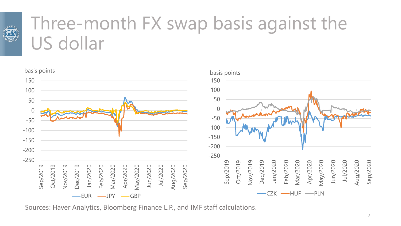

## Three-month FX swap basis against the US dollar



Sources: Haver Analytics, Bloomberg Finance L.P., and IMF staff calculations.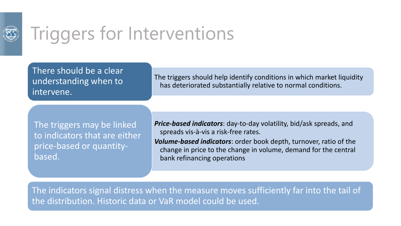

# Triggers for Interventions

There should be a clear understanding when to intervene.

The triggers should help identify conditions in which market liquidity has deteriorated substantially relative to normal conditions.

The triggers may be linked to indicators that are either price-based or quantitybased.

*Price-based indicators*: day-to-day volatility, bid/ask spreads, and spreads vis-à-vis a risk-free rates.

*Volume-based indicators*: order book depth, turnover, ratio of the change in price to the change in volume, demand for the central bank refinancing operations

The indicators signal distress when the measure moves sufficiently far into the tail of the distribution. Historic data or VaR model could be used.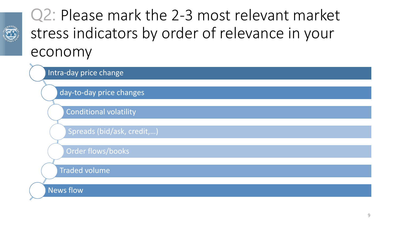

#### Q2: Please mark the 2-3 most relevant market stress indicators by order of relevance in your economy

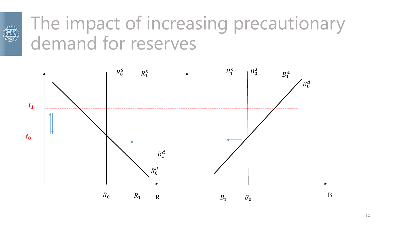

### The impact of increasing precautionary demand for reserves

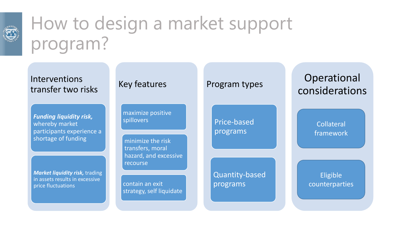

# How to design a market support program?

Interventions transfer two risks

*Funding liquidity risk,*  whereby market participants experience a shortage of funding

*Market liquidity risk,* trading in assets results in excessive price fluctuations

Key features

maximize positive spillovers

minimize the risk transfers, moral hazard, and excessive recourse

contain an exit strategy, self liquidate

#### Program types

Price-based programs

Quantity-based programs

#### Operational considerations

Collateral framework

Eligible counterparties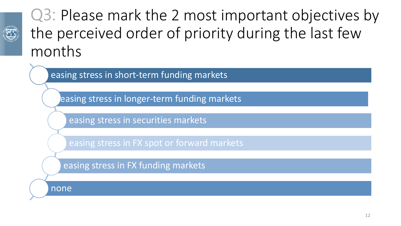

#### Q3: Please mark the 2 most important objectives by the perceived order of priority during the last few months

easing stress in short-term funding markets

easing stress in longer-term funding markets

easing stress in securities markets

easing stress in FX spot or forward markets

easing stress in FX funding markets

none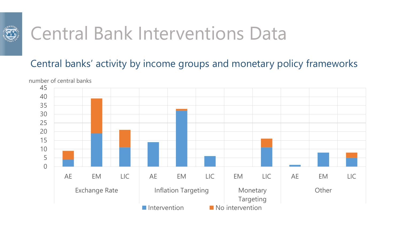

#### Central banks' activity by income groups and monetary policy frameworks

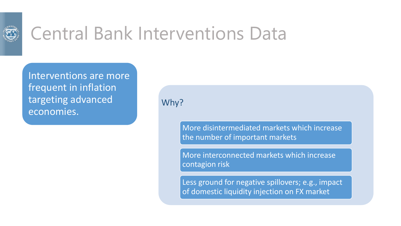

Interventions are more frequent in inflation targeting advanced economies.

Why?

More disintermediated markets which increase the number of important markets

More interconnected markets which increase contagion risk

Less ground for negative spillovers; e.g., impact of domestic liquidity injection on FX market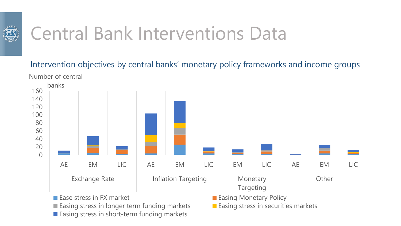

Intervention objectives by central banks' monetary policy frameworks and income groups Number of central

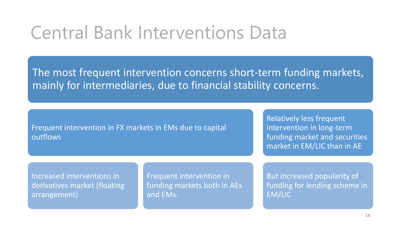The most frequent intervention concerns short-term funding markets, mainly for intermediaries, due to financial stability concerns.

Frequent intervention in FX markets in EMs due to capital outflows

Relatively less frequent intervention in long-term funding market and securities market in EM/LIC than in AE

Increased interventions in derivatives market (floating arrangement)

Frequent intervention in funding markets both in AEs and EMs.

But increased popularity of funding for lending scheme in EM/LIC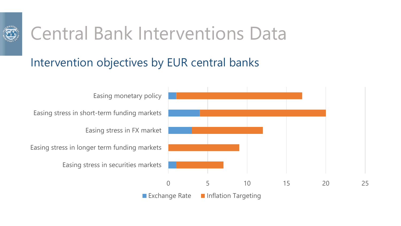

#### Intervention objectives by EUR central banks

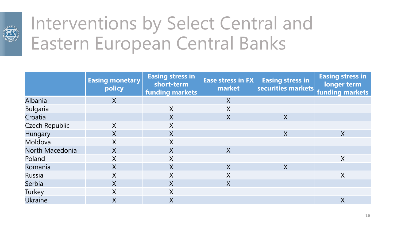

## Interventions by Select Central and Eastern European Central Banks

|                 | <b>Easing monetary</b><br>policy | <b>Easing stress in</b><br>short-term<br><b>funding markets</b> | <b>Ease stress in FX</b><br>market | <b>Easing stress in</b><br>securities markets funding markets | <b>Easing stress in</b><br>longer term |
|-----------------|----------------------------------|-----------------------------------------------------------------|------------------------------------|---------------------------------------------------------------|----------------------------------------|
| Albania         | X                                |                                                                 | X                                  |                                                               |                                        |
| <b>Bulgaria</b> |                                  | $\sf X$                                                         | X                                  |                                                               |                                        |
| Croatia         |                                  | $\sf X$                                                         | X                                  | X                                                             |                                        |
| Czech Republic  | X                                | X                                                               |                                    |                                                               |                                        |
| Hungary         | X                                | $\sf X$                                                         |                                    | X                                                             | $\overline{X}$                         |
| Moldova         | Χ                                | X                                                               |                                    |                                                               |                                        |
| North Macedonia | $\sf X$                          | $\sf X$                                                         | X                                  |                                                               |                                        |
| Poland          | X                                | X                                                               |                                    |                                                               | X                                      |
| Romania         | $\sf X$                          | $\sf X$                                                         | X                                  | X                                                             |                                        |
| Russia          | X                                | X                                                               | $\sf X$                            |                                                               | $\sf X$                                |
| Serbia          | X                                | $\sf X$                                                         | $\overline{X}$                     |                                                               |                                        |
| Turkey          | X                                | X                                                               |                                    |                                                               |                                        |
| <b>Ukraine</b>  | X                                | $\sf X$                                                         |                                    |                                                               | X                                      |